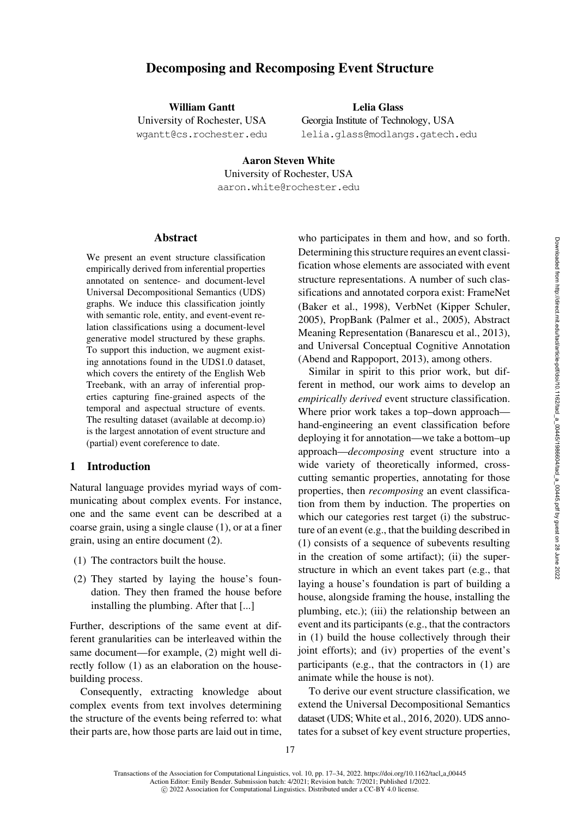# Decomposing and Recomposing Event Structure

William Gantt University of Rochester, USA [wgantt@cs.rochester.edu](mailto:wgantt@cs.rochester.edu)

Lelia Glass Georgia Institute of Technology, USA [lelia.glass@modlangs.gatech.edu](mailto:lelia.glass@modlangs.gatech.edu)

Aaron Steven White University of Rochester, USA [aaron.white@rochester.edu](mailto:aaron.white@rochester.edu)

# Abstract

We present an event structure classification empirically derived from inferential properties annotated on sentence- and document-level Universal Decompositional Semantics (UDS) graphs. We induce this classification jointly with semantic role, entity, and event-event relation classifications using a document-level generative model structured by these graphs. To support this induction, we augment existing annotations found in the UDS1.0 dataset, which covers the entirety of the English Web Treebank, with an array of inferential properties capturing fine-grained aspects of the temporal and aspectual structure of events. The resulting dataset (available at [decomp.io\)](http://decomp.io) is the largest annotation of event structure and (partial) event coreference to date.

# 1 Introduction

Natural language provides myriad ways of communicating about complex events. For instance, one and the same event can be described at a coarse grain, using a single clause (1), or at a finer grain, using an entire document (2).

- (1) The contractors built the house.
- (2) They started by laying the house's foundation. They then framed the house before installing the plumbing. After that [...]

Further, descriptions of the same event at different granularities can be interleaved within the same document—for example, (2) might well directly follow (1) as an elaboration on the housebuilding process.

Consequently, extracting knowledge about complex events from text involves determining the structure of the events being referred to: what their parts are, how those parts are laid out in time,

who participates in them and how, and so forth. Determining this structure requires an event classification whose elements are associated with event structure representations. A number of such classifications and annotated corpora exist: FrameNet [\(Baker et al., 1998\)](#page-13-0), VerbNet [\(Kipper Schuler,](#page-15-0) [2005](#page-15-0)), PropBank [\(Palmer et al.](#page-15-1), [2005\)](#page-15-1), Abstract Meaning Representation [\(Banarescu et al., 2013](#page-13-1)), and Universal Conceptual Cognitive Annotation [\(Abend and Rappoport](#page-13-2), [2013\)](#page-13-2), among others.

Similar in spirit to this prior work, but different in method, our work aims to develop an *empirically derived* event structure classification. Where prior work takes a top–down approach hand-engineering an event classification before deploying it for annotation—we take a bottom–up approach—*decomposing* event structure into a wide variety of theoretically informed, crosscutting semantic properties, annotating for those properties, then *recomposing* an event classification from them by induction. The properties on which our categories rest target (i) the substructure of an event (e.g., that the building described in (1) consists of a sequence of subevents resulting in the creation of some artifact); (ii) the superstructure in which an event takes part (e.g., that laying a house's foundation is part of building a house, alongside framing the house, installing the plumbing, etc.); (iii) the relationship between an event and its participants (e.g., that the contractors in (1) build the house collectively through their joint efforts); and (iv) properties of the event's participants (e.g., that the contractors in (1) are animate while the house is not).

To derive our event structure classification, we extend the Universal Decompositional Semantics dataset (UDS; [White et al., 2016](#page-16-0), [2020](#page-16-1)). UDS annotates for a subset of key event structure properties,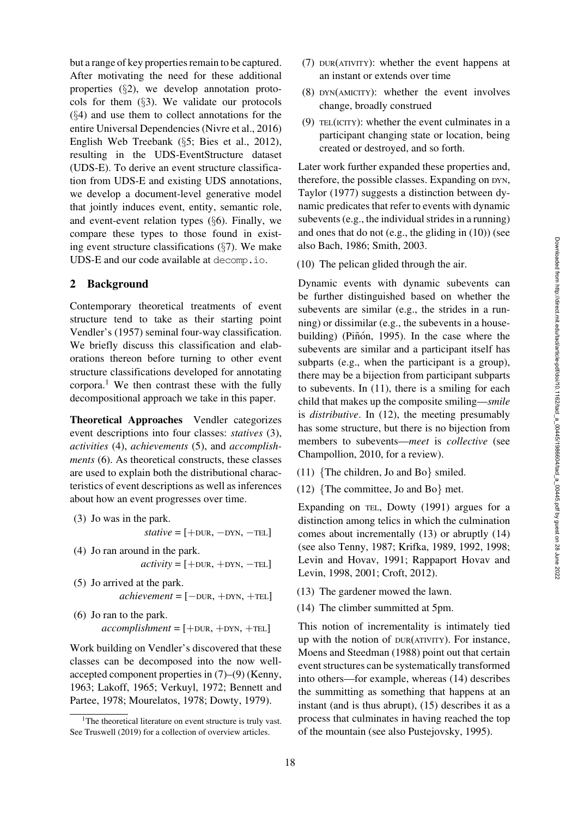but a range of key properties remain to be captured. After motivating the need for these additional properties (§[2\)](#page-1-0), we develop annotation protocols for them (§[3\)](#page-4-0). We validate our protocols (§[4\)](#page-4-1) and use them to collect annotations for the entire Universal Dependencies [\(Nivre et al., 2016\)](#page-15-2) English Web Treebank (§[5;](#page-7-0) [Bies et al., 2012\)](#page-13-3), resulting in the UDS-EventStructure dataset (UDS-E). To derive an event structure classification from UDS-E and existing UDS annotations, we develop a document-level generative model that jointly induces event, entity, semantic role, and event-event relation types (§[6\)](#page-8-0). Finally, we compare these types to those found in existing event structure classifications  $(\S7)$  $(\S7)$ . We make UDS-E and our code available at [decomp.io](http://decomp.io).

# <span id="page-1-0"></span>2 Background

Contemporary theoretical treatments of event structure tend to take as their starting point [Vendler](#page-16-2)'s [\(1957\)](#page-16-2) seminal four-way classification. We briefly discuss this classification and elaborations thereon before turning to other event structure classifications developed for annotating corpora.<sup>1</sup> We then contrast these with the fully decompositional approach we take in this paper.

<span id="page-1-2"></span>[Theoretical Approaches](#page-1-2) Vendler categorizes event descriptions into four classes: *statives* (3), *activities* (4), *achievements* (5), and *accomplishments* (6). As theoretical constructs, these classes are used to explain both the distributional characteristics of event descriptions as well as inferences about how an event progresses over time.

- (3) Jo was in the park.  $static = [+DUR, -DYN, -TEL]$
- (4) Jo ran around in the park.  $activity = [+DUR, +DYN, -TEL]$
- (5) Jo arrived at the park.  $\textit{achievement} = [-\text{DUR}, +\text{DYN}, +\text{TEL}]$
- (6) Jo ran to the park.  $account = [+DUR, +DYN, +TEL]$

Work building on [Vendler'](#page-16-2)s discovered that these classes can be decomposed into the now wellaccepted component properties in (7)–(9) [\(Kenny,](#page-15-3) [1963;](#page-15-3) [Lakoff, 1965;](#page-15-4) [Verkuyl, 1972;](#page-16-3) [Bennett and](#page-13-4) [Partee,](#page-13-4) [1978;](#page-13-5) [Mourelatos, 1978](#page-15-5); [Dowty](#page-14-0), [1979\)](#page-14-0).

- (7) DUR(ATIVITY): whether the event happens at an instant or extends over time
- (8) DYN(AMICITY): whether the event involves change, broadly construed
- (9) TEL(ICITY): whether the event culminates in a participant changing state or location, being created or destroyed, and so forth.

Later work further expanded these properties and, therefore, the possible classes. Expanding on DYN, [Taylor](#page-16-5) [\(1977\)](#page-16-5) suggests a distinction between dynamic predicates that refer to events with dynamic subevents (e.g., the individual strides in a running) and ones that do not (e.g., the gliding in (10)) (see also [Bach](#page-13-6), [1986;](#page-13-6) [Smith, 2003](#page-16-6).

(10) The pelican glided through the air.

Dynamic events with dynamic subevents can be further distinguished based on whether the subevents are similar (e.g., the strides in a running) or dissimilar (e.g., the subevents in a house-building) (Piñón, [1995\)](#page-15-6). In the case where the subevents are similar and a participant itself has subparts (e.g., when the participant is a group), there may be a bijection from participant subparts to subevents. In (11), there is a smiling for each child that makes up the composite smiling—*smile* is *distributive*. In (12), the meeting presumably has some structure, but there is no bijection from members to subevents—*meet* is *collective* (see [Champollion, 2010](#page-13-7), for a review).

- (11) {The children, Jo and Bo} smiled.
- (12) {The committee, Jo and Bo} met.

Expanding on TEL, [Dowty](#page-14-1) [\(1991\)](#page-14-1) argues for a distinction among telics in which the culmination comes about incrementally (13) or abruptly (14) (see also [Tenny, 1987;](#page-16-7) [Krifka](#page-15-7), [1989](#page-15-7), [1992,](#page-15-8) [1998](#page-15-9); [Levin and Hovav, 1991](#page-15-10); [Rappaport Hovav and](#page-15-11) [Levin,](#page-15-11) [1998](#page-15-12), [2001;](#page-16-8) [Croft, 2012](#page-13-8)).

- (13) The gardener mowed the lawn.
- (14) The climber summitted at 5pm.

This notion of incrementality is intimately tied up with the notion of DUR(ATIVITY). For instance, [Moens and Steedman](#page-15-13) [\(1988](#page-15-13)) point out that certain event structures can be systematically transformed into others—for example, whereas (14) describes the summitting as something that happens at an instant (and is thus abrupt), (15) describes it as a process that culminates in having reached the top of the mountain (see also [Pustejovsky, 1995](#page-15-14)).

<span id="page-1-1"></span><sup>&</sup>lt;sup>1</sup>The theoretical literature on event structure is truly vast. See [Truswell](#page-16-4) [\(2019](#page-16-4)) for a collection of overview articles.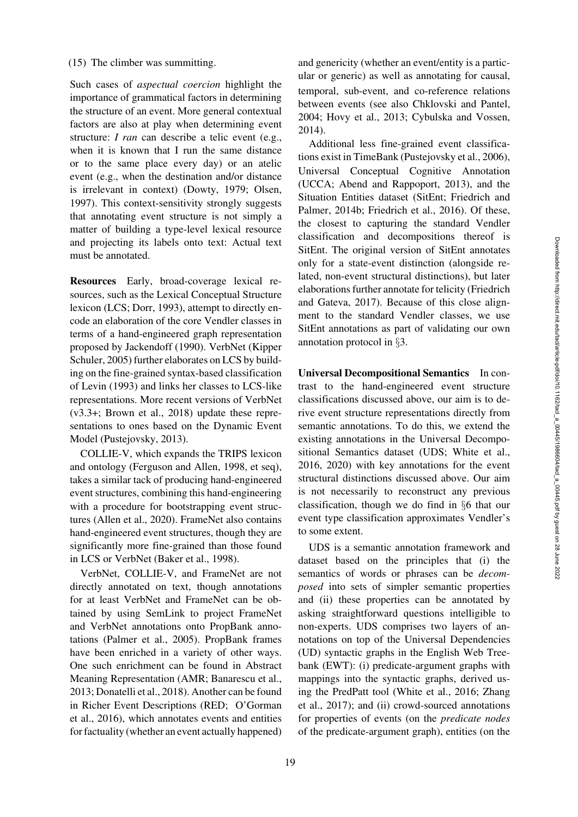#### (15) The climber was summitting.

Such cases of *aspectual coercion* highlight the importance of grammatical factors in determining the structure of an event. More general contextual factors are also at play when determining event structure: *I ran* can describe a telic event (e.g., when it is known that I run the same distance or to the same place every day) or an atelic event (e.g., when the destination and/or distance is irrelevant in context) [\(Dowty, 1979](#page-14-0); [Olsen,](#page-15-15) [1997](#page-15-15)). This context-sensitivity strongly suggests that annotating event structure is not simply a matter of building a type-level lexical resource and projecting its labels onto text: Actual text must be annotated.

Resources Early, broad-coverage lexical resources, such as the Lexical Conceptual Structure lexicon (LCS; [Dorr](#page-14-2), [1993](#page-14-2)), attempt to directly encode an elaboration of the core Vendler classes in terms of a hand-engineered graph representation proposed by [Jackendoff](#page-15-16) [\(1990\)](#page-15-16). VerbNet [\(Kipper](#page-15-17) [Schuler,](#page-15-17) [2005](#page-15-0)) further elaborates on LCS by building on the fine-grained syntax-based classification of [Levin](#page-15-18) [\(1993](#page-15-18)) and links her classes to LCS-like representations. More recent versions of VerbNet (v3.3+; [Brown et al.](#page-13-9), [2018](#page-13-9)) update these representations to ones based on the Dynamic Event Model [\(Pustejovsky](#page-15-19), [2013\)](#page-15-19).

COLLIE-V, which expands the TRIPS lexicon and ontology [\(Ferguson and Allen](#page-14-3), [1998](#page-14-3), et seq), takes a similar tack of producing hand-engineered event structures, combining this hand-engineering with a procedure for bootstrapping event structures [\(Allen et al., 2020\)](#page-13-10). FrameNet also contains hand-engineered event structures, though they are significantly more fine-grained than those found in LCS or VerbNet [\(Baker et al., 1998](#page-13-0)).

VerbNet, COLLIE-V, and FrameNet are not directly annotated on text, though annotations for at least VerbNet and FrameNet can be obtained by using SemLink to project FrameNet and VerbNet annotations onto PropBank annotations [\(Palmer et al., 2005\)](#page-15-1). PropBank frames have been enriched in a variety of other ways. One such enrichment can be found in Abstract Meaning Representation (AMR; [Banarescu et al.,](#page-13-1) [2013](#page-13-1); [Donatelli et al.](#page-14-4), [2018\)](#page-14-4). Another can be found in Richer Event Descriptions (RED; [O'Gorman](#page-15-20) [et al.,](#page-15-20) [2016](#page-15-21)), which annotates events and entities for factuality (whether an event actually happened) and genericity (whether an event/entity is a particular or generic) as well as annotating for causal, temporal, sub-event, and co-reference relations between events (see also [Chklovski and Pantel,](#page-13-11) [2004](#page-13-11); [Hovy et al.](#page-14-5), [2013](#page-14-5); [Cybulska and Vossen,](#page-14-6) [2014](#page-14-6)).

Additional less fine-grained event classifications exist in TimeBank [\(Pustejovsky et al.](#page-15-22), [2006](#page-15-22)), Universal Conceptual Cognitive Annotation (UCCA; [Abend and Rappoport, 2013](#page-13-2)), and the Situation Entities dataset (SitEnt; [Friedrich and](#page-14-7) [Palmer,](#page-14-7) [2014b;](#page-14-8) [Friedrich et al., 2016\)](#page-14-9). Of these, the closest to capturing the standard Vendler classification and decompositions thereof is SitEnt. The original version of SitEnt annotates only for a state-event distinction (alongside related, non-event structural distinctions), but later elaborations further annotate for telicity [\(Friedrich](#page-14-10) [and Gateva,](#page-14-10) [2017\)](#page-14-11). Because of this close alignment to the standard Vendler classes, we use SitEnt annotations as part of validating our own annotation protocol in §[3.](#page-4-0)

Universal Decompositional Semantics In contrast to the hand-engineered event structure classifications discussed above, our aim is to derive event structure representations directly from semantic annotations. To do this, we extend the existing annotations in the Universal Decompositional Semantics dataset (UDS; [White et al.,](#page-16-0) [2016](#page-16-0), [2020\)](#page-16-1) with key annotations for the event structural distinctions discussed above. Our aim is not necessarily to reconstruct any previous classification, though we do find in §[6](#page-8-0) that our event type classification approximates Vendler's to some extent.

UDS is a semantic annotation framework and dataset based on the principles that (i) the semantics of words or phrases can be *decomposed* into sets of simpler semantic properties and (ii) these properties can be annotated by asking straightforward questions intelligible to non-experts. UDS comprises two layers of annotations on top of the Universal Dependencies (UD) syntactic graphs in the English Web Treebank (EWT): (i) predicate-argument graphs with mappings into the syntactic graphs, derived using the PredPatt tool [\(White et al., 2016](#page-16-0); [Zhang](#page-17-0) [et al.,](#page-17-0) [2017](#page-17-1)); and (ii) crowd-sourced annotations for properties of events (on the *predicate nodes* of the predicate-argument graph), entities (on the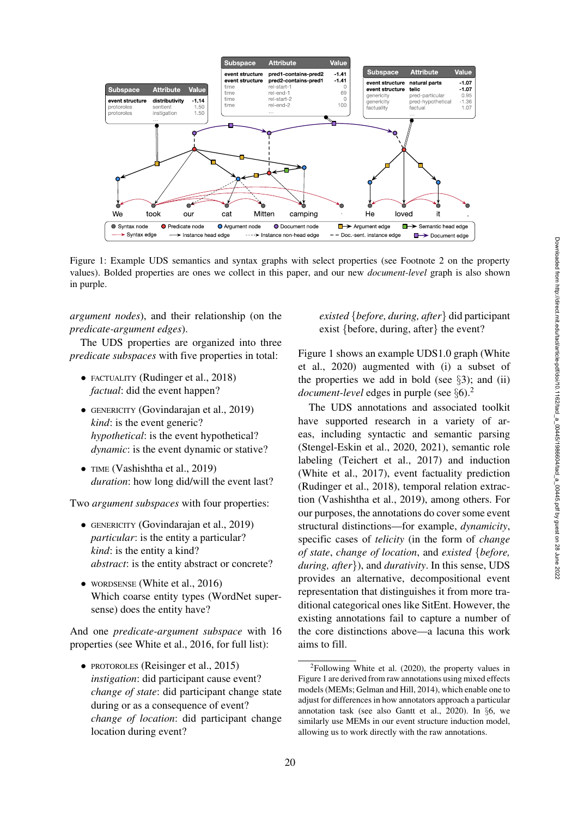

<span id="page-3-1"></span>Figure 1: Example UDS semantics and syntax graphs with select properties (see Footnote [2](#page-3-0) on the property values). Bolded properties are ones we collect in this paper, and our new *document-level* graph is also shown in purple.

*argument nodes*), and their relationship (on the *predicate-argument edges*).

The UDS properties are organized into three *predicate subspaces* with five properties in total:

- FACTUALITY [\(Rudinger et al.](#page-16-9), [2018\)](#page-16-9) *factual*: did the event happen?
- GENERICITY [\(Govindarajan et al., 2019](#page-14-12)) *kind*: is the event generic? *hypothetical*: is the event hypothetical? *dynamic*: is the event dynamic or stative?
- TIME [\(Vashishtha et al.](#page-16-10), [2019\)](#page-16-10) *duration*: how long did/will the event last?

Two *argument subspaces* with four properties:

- GENERICITY [\(Govindarajan et al., 2019](#page-14-12)) *particular*: is the entity a particular? *kind*: is the entity a kind? *abstract*: is the entity abstract or concrete?
- WORDSENSE [\(White et al., 2016](#page-16-0)) Which coarse entity types (WordNet supersense) does the entity have?

And one *predicate-argument subspace* with 16 properties (see [White et al.](#page-16-0), [2016,](#page-16-0) for full list):

• PROTOROLES [\(Reisinger et al.](#page-16-11), [2015\)](#page-16-11) *instigation*: did participant cause event? *change of state*: did participant change state during or as a consequence of event? *change of location*: did participant change location during event?

# *existed* {*before, during, after*} did participant exist {before, during, after} the event?

[Figure 1](#page-3-1) shows an example UDS1.0 graph [\(White](#page-16-12) [et al.,](#page-16-12) [2020\)](#page-16-1) augmented with (i) a subset of the properties we add in bold (see  $\S$ [3\)](#page-4-0); and (ii) *document-level* edges in purple (see §[6\)](#page-8-0).[2](#page-3-0)

The UDS annotations and associated toolkit have supported research in a variety of areas, including syntactic and semantic parsing [\(Stengel-Eskin et al., 2020](#page-16-13), [2021\)](#page-16-14), semantic role labeling [\(Teichert et al., 2017\)](#page-16-15) and induction [\(White et al., 2017](#page-16-16)), event factuality prediction [\(Rudinger et al.](#page-16-9), [2018\)](#page-16-9), temporal relation extraction [\(Vashishtha et al., 2019](#page-16-10)), among others. For our purposes, the annotations do cover some event structural distinctions—for example, *dynamicity*, specific cases of *telicity* (in the form of *change of state*, *change of location*, and *existed* {*before, during, after*}), and *durativity*. In this sense, UDS provides an alternative, decompositional event representation that distinguishes it from more traditional categorical ones like SitEnt. However, the existing annotations fail to capture a number of the core distinctions above—a lacuna this work aims to fill.

<span id="page-3-0"></span> $2Following White et al. (2020), the property values in$  $2Following White et al. (2020), the property values in$  $2Following White et al. (2020), the property values in$  $2Following White et al. (2020), the property values in$  $2Following White et al. (2020), the property values in$ [Figure 1](#page-3-1) are derived from raw annotations using mixed effects models (MEMs; [Gelman and Hill](#page-14-13), [2014](#page-14-13)), which enable one to adjust for differences in how annotators approach a particular annotation task (see also [Gantt et al.](#page-14-14), [2020](#page-14-14)). In §[6,](#page-8-0) we similarly use MEMs in our event structure induction model, allowing us to work directly with the raw annotations.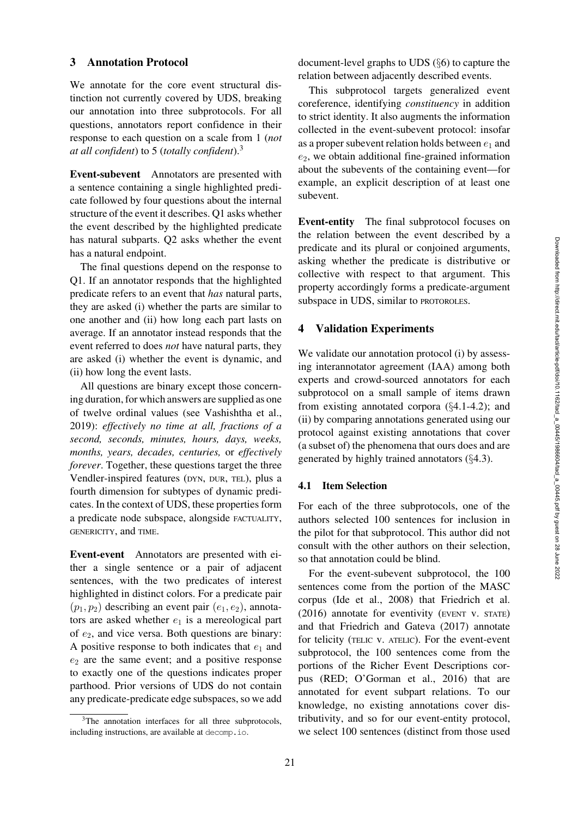# <span id="page-4-0"></span>3 Annotation Protocol

We annotate for the core event structural distinction not currently covered by UDS, breaking our annotation into three subprotocols. For all questions, annotators report confidence in their response to each question on a scale from 1 (*not at all confident*) to 5 (*totally confident*)[.3](#page-4-2)

Event-subevent Annotators are presented with a sentence containing a single highlighted predicate followed by four questions about the internal structure of the event it describes. Q1 asks whether the event described by the highlighted predicate has natural subparts. Q2 asks whether the event has a natural endpoint.

The final questions depend on the response to Q1. If an annotator responds that the highlighted predicate refers to an event that *has* natural parts, they are asked (i) whether the parts are similar to one another and (ii) how long each part lasts on average. If an annotator instead responds that the event referred to does *not* have natural parts, they are asked (i) whether the event is dynamic, and (ii) how long the event lasts.

All questions are binary except those concerning duration, for which answers are supplied as one of twelve ordinal values (see [Vashishtha et al.,](#page-16-10) [2019\)](#page-16-10): *effectively no time at all, fractions of a second, seconds, minutes, hours, days, weeks, months, years, decades, centuries,* or *effectively forever*. Together, these questions target the three Vendler-inspired features (DYN, DUR, TEL), plus a fourth dimension for subtypes of dynamic predicates. In the context of UDS, these properties form a predicate node subspace, alongside FACTUALITY, GENERICITY, and TIME.

Event-event Annotators are presented with either a single sentence or a pair of adjacent sentences, with the two predicates of interest highlighted in distinct colors. For a predicate pair  $(p_1, p_2)$  describing an event pair  $(e_1, e_2)$ , annotators are asked whether  $e_1$  is a mereological part of  $e_2$ , and vice versa. Both questions are binary: A positive response to both indicates that  $e_1$  and  $e_2$  are the same event; and a positive response to exactly one of the questions indicates proper parthood. Prior versions of UDS do not contain any predicate-predicate edge subspaces, so we add

<span id="page-4-2"></span><sup>3</sup>The annotation interfaces for all three subprotocols, including instructions, are available at [decomp.io](http://decomp.io).

document-level graphs to UDS (§[6\)](#page-8-0) to capture the relation between adjacently described events.

This subprotocol targets generalized event coreference, identifying *constituency* in addition to strict identity. It also augments the information collected in the event-subevent protocol: insofar as a proper subevent relation holds between  $e_1$  and  $e_2$ , we obtain additional fine-grained information about the subevents of the containing event—for example, an explicit description of at least one subevent.

Event-entity The final subprotocol focuses on the relation between the event described by a predicate and its plural or conjoined arguments, asking whether the predicate is distributive or collective with respect to that argument. This property accordingly forms a predicate-argument subspace in UDS, similar to PROTOROLES.

## <span id="page-4-1"></span>4 Validation Experiments

We validate our annotation protocol (i) by assessing interannotator agreement (IAA) among both experts and crowd-sourced annotators for each subprotocol on a small sample of items drawn from existing annotated corpora (§[4.1-](#page-4-3)[4.2\)](#page-5-0); and (ii) by comparing annotations generated using our protocol against existing annotations that cover (a subset of) the phenomena that ours does and are generated by highly trained annotators (§[4.3\)](#page-6-0).

### <span id="page-4-3"></span>4.1 Item Selection

For each of the three subprotocols, one of the authors selected 100 sentences for inclusion in the pilot for that subprotocol. This author did not consult with the other authors on their selection, so that annotation could be blind.

For the event-subevent subprotocol, the 100 sentences come from the portion of the MASC corpus [\(Ide et al.](#page-14-15), [2008](#page-14-15)) that [Friedrich et al.](#page-14-9) [\(2016\)](#page-14-9) annotate for eventivity (EVENT v. STATE) and that [Friedrich and Gateva](#page-14-11) [\(2017](#page-14-11)) annotate for telicity (TELIC v. ATELIC). For the event-event subprotocol, the 100 sentences come from the portions of the Richer Event Descriptions corpus (RED; [O'Gorman et al., 2016\)](#page-15-21) that are annotated for event subpart relations. To our knowledge, no existing annotations cover distributivity, and so for our event-entity protocol, we select 100 sentences (distinct from those used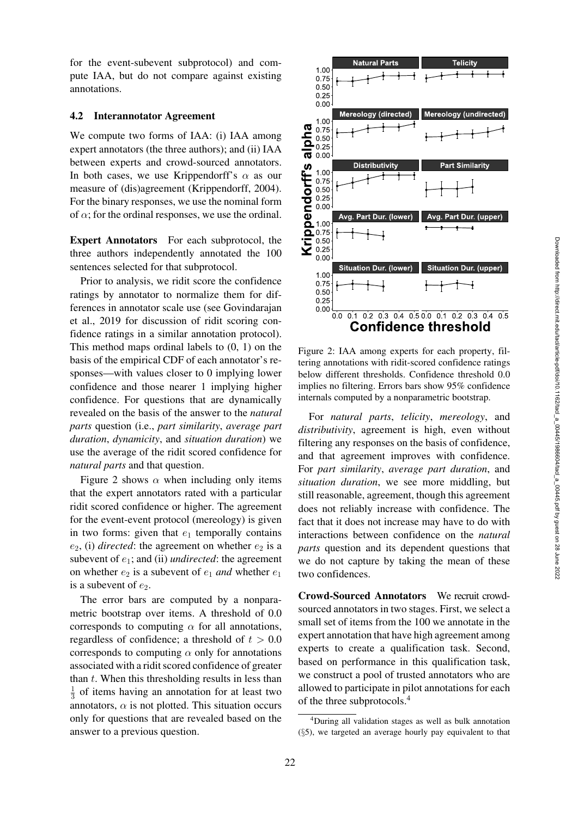for the event-subevent subprotocol) and compute IAA, but do not compare against existing annotations.

#### <span id="page-5-0"></span>4.2 Interannotator Agreement

We compute two forms of IAA: (i) IAA among expert annotators (the three authors); and (ii) IAA between experts and crowd-sourced annotators. In both cases, we use Krippendorff's  $\alpha$  as our measure of (dis)agreement [\(Krippendorff, 2004\)](#page-15-23). For the binary responses, we use the nominal form of  $\alpha$ ; for the ordinal responses, we use the ordinal.

Expert Annotators For each subprotocol, the three authors independently annotated the 100 sentences selected for that subprotocol.

Prior to analysis, we ridit score the confidence ratings by annotator to normalize them for differences in annotator scale use (see [Govindarajan](#page-14-16) [et al.,](#page-14-16) [2019](#page-14-12) for discussion of ridit scoring confidence ratings in a similar annotation protocol). This method maps ordinal labels to (0, 1) on the basis of the empirical CDF of each annotator's responses—with values closer to 0 implying lower confidence and those nearer 1 implying higher confidence. For questions that are dynamically revealed on the basis of the answer to the *natural parts* question (i.e., *part similarity*, *average part duration*, *dynamicity*, and *situation duration*) we use the average of the ridit scored confidence for *natural parts* and that question.

[Figure 2](#page-5-1) shows  $\alpha$  when including only items that the expert annotators rated with a particular ridit scored confidence or higher. The agreement for the event-event protocol (mereology) is given in two forms: given that  $e_1$  temporally contains  $e_2$ , (i) *directed*: the agreement on whether  $e_2$  is a subevent of  $e_1$ ; and (ii) *undirected*: the agreement on whether  $e_2$  is a subevent of  $e_1$  *and* whether  $e_1$ is a subevent of  $e_2$ .

The error bars are computed by a nonparametric bootstrap over items. A threshold of 0.0 corresponds to computing  $\alpha$  for all annotations, regardless of confidence; a threshold of  $t > 0.0$ corresponds to computing  $\alpha$  only for annotations associated with a ridit scored confidence of greater than  $t$ . When this thresholding results in less than  $\frac{1}{3}$  of items having an annotation for at least two annotators,  $\alpha$  is not plotted. This situation occurs only for questions that are revealed based on the answer to a previous question.



<span id="page-5-1"></span>Figure 2: IAA among experts for each property, filtering annotations with ridit-scored confidence ratings below different thresholds. Confidence threshold 0.0 implies no filtering. Errors bars show 95% confidence internals computed by a nonparametric bootstrap.

For *natural parts*, *telicity*, *mereology*, and *distributivity*, agreement is high, even without filtering any responses on the basis of confidence, and that agreement improves with confidence. For *part similarity*, *average part duration*, and *situation duration*, we see more middling, but still reasonable, agreement, though this agreement does not reliably increase with confidence. The fact that it does not increase may have to do with interactions between confidence on the *natural parts* question and its dependent questions that we do not capture by taking the mean of these two confidences.

Crowd-Sourced Annotators We recruit crowdsourced annotators in two stages. First, we select a small set of items from the 100 we annotate in the expert annotation that have high agreement among experts to create a qualification task. Second, based on performance in this qualification task, we construct a pool of trusted annotators who are allowed to participate in pilot annotations for each of the three subprotocols[.4](#page-5-2)

<span id="page-5-2"></span><sup>4</sup>During all validation stages as well as bulk annotation (§[5\)](#page-7-0), we targeted an average hourly pay equivalent to that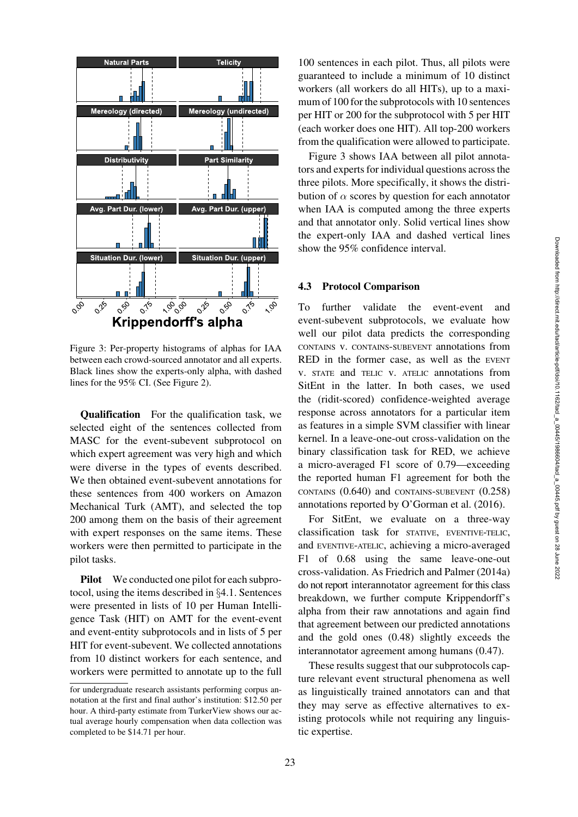

<span id="page-6-1"></span>Figure 3: Per-property histograms of alphas for IAA between each crowd-sourced annotator and all experts. Black lines show the experts-only alpha, with dashed lines for the 95% CI. (See [Figure 2\)](#page-5-1).

Qualification For the qualification task, we selected eight of the sentences collected from MASC for the event-subevent subprotocol on which expert agreement was very high and which were diverse in the types of events described. We then obtained event-subevent annotations for these sentences from 400 workers on Amazon Mechanical Turk (AMT), and selected the top 200 among them on the basis of their agreement with expert responses on the same items. These workers were then permitted to participate in the pilot tasks.

Pilot We conducted one pilot for each subprotocol, using the items described in §[4.1.](#page-4-3) Sentences were presented in lists of 10 per Human Intelligence Task (HIT) on AMT for the event-event and event-entity subprotocols and in lists of 5 per HIT for event-subevent. We collected annotations from 10 distinct workers for each sentence, and workers were permitted to annotate up to the full

100 sentences in each pilot. Thus, all pilots were guaranteed to include a minimum of 10 distinct workers (all workers do all HITs), up to a maximum of 100 for the subprotocols with 10 sentences per HIT or 200 for the subprotocol with 5 per HIT (each worker does one HIT). All top-200 workers from the qualification were allowed to participate.

[Figure 3](#page-6-1) shows IAA between all pilot annotators and experts for individual questions across the three pilots. More specifically, it shows the distribution of  $\alpha$  scores by question for each annotator when IAA is computed among the three experts and that annotator only. Solid vertical lines show the expert-only IAA and dashed vertical lines show the 95% confidence interval.

#### <span id="page-6-0"></span>4.3 Protocol Comparison

To further validate the event-event and event-subevent subprotocols, we evaluate how well our pilot data predicts the corresponding CONTAINS v. CONTAINS-SUBEVENT annotations from RED in the former case, as well as the EVENT v. STATE and TELIC v. ATELIC annotations from SitEnt in the latter. In both cases, we used the (ridit-scored) confidence-weighted average response across annotators for a particular item as features in a simple SVM classifier with linear kernel. In a leave-one-out cross-validation on the binary classification task for RED, we achieve a micro-averaged F1 score of 0.79—exceeding the reported human F1 agreement for both the CONTAINS (0.640) and CONTAINS-SUBEVENT (0.258) annotations reported by [O'Gorman et al.](#page-15-21) [\(2016](#page-15-21)).

For SitEnt, we evaluate on a three-way classification task for STATIVE, EVENTIVE-TELIC, and EVENTIVE-ATELIC, achieving a micro-averaged F1 of 0.68 using the same leave-one-out cross-validation. As [Friedrich and Palmer](#page-14-17) [\(2014a\)](#page-14-17) do not report interannotator agreement for this class breakdown, we further compute Krippendorff's alpha from their raw annotations and again find that agreement between our predicted annotations and the gold ones (0.48) slightly exceeds the interannotator agreement among humans (0.47).

These results suggest that our subprotocols capture relevant event structural phenomena as well as linguistically trained annotators can and that they may serve as effective alternatives to existing protocols while not requiring any linguistic expertise.

for undergraduate research assistants performing corpus annotation at the first and final author's institution: \$12.50 per hour. A third-party estimate from TurkerView shows our actual average hourly compensation when data collection was completed to be \$14.71 per hour.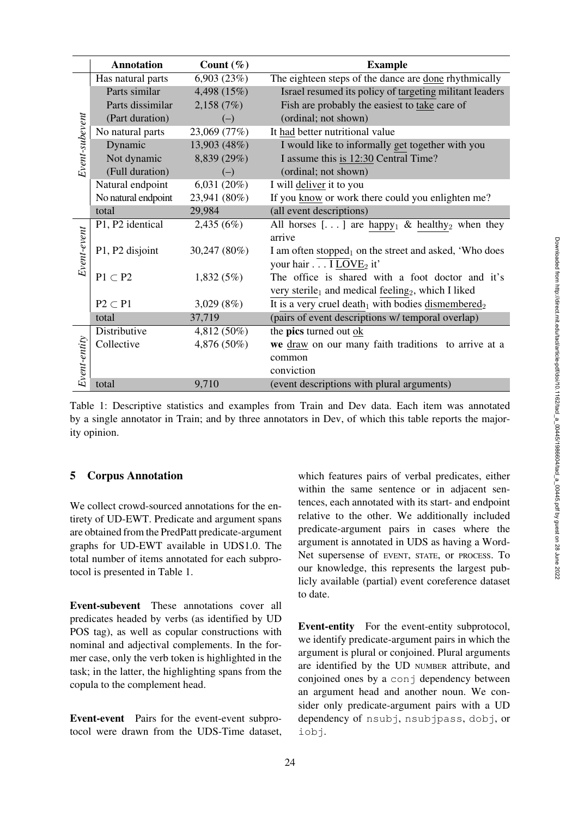|                | <b>Annotation</b>   | Count $(\% )$ | <b>Example</b>                                                             |  |  |  |
|----------------|---------------------|---------------|----------------------------------------------------------------------------|--|--|--|
|                | Has natural parts   | 6,903(23%)    | The eighteen steps of the dance are done rhythmically                      |  |  |  |
| Event-subevent | Parts similar       | 4,498 (15%)   | Israel resumed its policy of targeting militant leaders                    |  |  |  |
|                | Parts dissimilar    | 2,158(7%)     | Fish are probably the easiest to take care of                              |  |  |  |
|                | (Part duration)     | $(-)$         | (ordinal; not shown)                                                       |  |  |  |
|                | No natural parts    | 23,069 (77%)  | It had better nutritional value                                            |  |  |  |
|                | Dynamic             | 13,903 (48%)  | I would like to informally get together with you                           |  |  |  |
|                | Not dynamic         | 8,839 (29%)   | I assume this is 12:30 Central Time?                                       |  |  |  |
|                | (Full duration)     | $(-)$         | (ordinal; not shown)                                                       |  |  |  |
|                | Natural endpoint    | 6,031(20%)    | I will deliver it to you                                                   |  |  |  |
|                | No natural endpoint | 23,941 (80%)  | If you know or work there could you enlighten me?                          |  |  |  |
|                | total               | 29,984        | (all event descriptions)                                                   |  |  |  |
| Event-event    | P1, P2 identical    | 2,435(6%)     | All horses [] are happy <sub>1</sub> & healthy <sub>2</sub> when they      |  |  |  |
|                |                     |               | arrive                                                                     |  |  |  |
|                | P1, P2 disjoint     | 30,247 (80%)  | I am often stopped <sub>1</sub> on the street and asked, 'Who does         |  |  |  |
|                |                     |               | your hair I LOVE <sub>2</sub> it'                                          |  |  |  |
|                | $P1 \subset P2$     | 1,832(5%)     | The office is shared with a foot doctor and it's                           |  |  |  |
|                |                     |               | very sterile <sub>1</sub> and medical feeling <sub>2</sub> , which I liked |  |  |  |
|                | $P2 \subset P1$     | 3,029(8%)     | It is a very cruel death <sub>1</sub> with bodies dismembered <sub>2</sub> |  |  |  |
|                | total               | 37,719        | (pairs of event descriptions w/ temporal overlap)                          |  |  |  |
|                | Distributive        | 4,812 (50%)   | the pics turned out ok                                                     |  |  |  |
| Event-entity   | Collective          | 4,876 (50%)   | we draw on our many faith traditions to arrive at a                        |  |  |  |
|                |                     |               | common                                                                     |  |  |  |
|                |                     |               | conviction                                                                 |  |  |  |
|                | total               | 9,710         | (event descriptions with plural arguments)                                 |  |  |  |

<span id="page-7-1"></span>Table 1: Descriptive statistics and examples from Train and Dev data. Each item was annotated by a single annotator in Train; and by three annotators in Dev, of which this table reports the majority opinion.

# <span id="page-7-0"></span>5 Corpus Annotation

We collect crowd-sourced annotations for the entirety of UD-EWT. Predicate and argument spans are obtained from the PredPatt predicate-argument graphs for UD-EWT available in UDS1.0. The total number of items annotated for each subprotocol is presented in [Table 1.](#page-7-1)

Event-subevent These annotations cover all predicates headed by verbs (as identified by UD POS tag), as well as copular constructions with nominal and adjectival complements. In the former case, only the verb token is highlighted in the task; in the latter, the highlighting spans from the copula to the complement head.

Event-event Pairs for the event-event subprotocol were drawn from the UDS-Time dataset,

which features pairs of verbal predicates, either within the same sentence or in adjacent sentences, each annotated with its start- and endpoint relative to the other. We additionally included predicate-argument pairs in cases where the argument is annotated in UDS as having a Word-Net supersense of EVENT, STATE, or PROCESS. To our knowledge, this represents the largest publicly available (partial) event coreference dataset to date.

Event-entity For the event-entity subprotocol, we identify predicate-argument pairs in which the argument is plural or conjoined. Plural arguments are identified by the UD NUMBER attribute, and conjoined ones by a conj dependency between an argument head and another noun. We consider only predicate-argument pairs with a UD dependency of nsubj, nsubjpass, dobj, or iobj.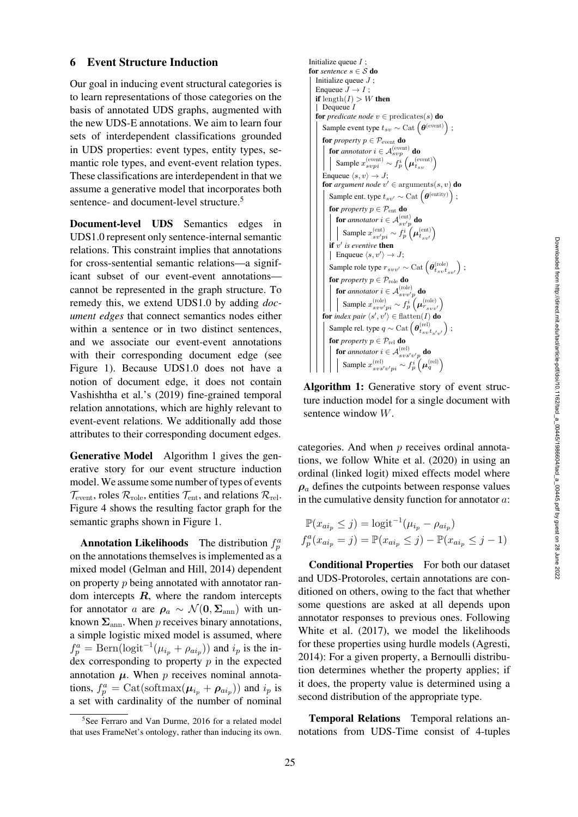## <span id="page-8-0"></span>6 Event Structure Induction

Our goal in inducing event structural categories is to learn representations of those categories on the basis of annotated UDS graphs, augmented with the new UDS-E annotations. We aim to learn four sets of interdependent classifications grounded in UDS properties: event types, entity types, semantic role types, and event-event relation types. These classifications are interdependent in that we assume a generative model that incorporates both sentence- and document-level structure.<sup>5</sup>

Document-level UDS Semantics edges in UDS1.0 represent only sentence-internal semantic relations. This constraint implies that annotations for cross-sentential semantic relations—a significant subset of our event-event annotations cannot be represented in the graph structure. To remedy this, we extend UDS1.0 by adding *document edges* that connect semantics nodes either within a sentence or in two distinct sentences, and we associate our event-event annotations with their corresponding document edge (see [Figure 1\)](#page-3-1). Because UDS1.0 does not have a notion of document edge, it does not contain [Vashishtha et al.'](#page-16-10)s [\(2019](#page-16-10)) fine-grained temporal relation annotations, which are highly relevant to event-event relations. We additionally add those attributes to their corresponding document edges.

Generative Model Algorithm [1](#page-8-2) gives the generative story for our event structure induction model. We assume some number of types of events  $\mathcal{T}_{\text{event}}$ , roles  $\mathcal{R}_{\text{role}}$ , entities  $\mathcal{T}_{\text{ent}}$ , and relations  $\mathcal{R}_{\text{rel}}$ . [Figure 4](#page-9-0) shows the resulting factor graph for the semantic graphs shown in [Figure 1.](#page-3-1)

**Annotation Likelihoods** The distribution  $f_p^a$ on the annotations themselves is implemented as a mixed model [\(Gelman and Hill, 2014](#page-14-13)) dependent on property p being annotated with annotator random intercepts *R*, where the random intercepts for annotator a are  $\rho_a \sim \mathcal{N}(0, \Sigma_{\rm ann})$  with unknown  $\Sigma$ <sub>ann</sub>. When p receives binary annotations, a simple logistic mixed model is assumed, where  $f_p^a = \text{Bern}(\text{logit}^{-1}(\mu_{i_p} + \rho_{ai_p}))$  and  $i_p$  is the index corresponding to property  $p$  in the expected annotation  $\mu$ . When  $p$  receives nominal annotations,  $f_p^a = \text{Cat}(\text{softmax}(\mu_{i_p} + \rho_{ai_p}))$  and  $i_p$  is a set with cardinality of the number of nominal

```
Initialize queue I;
for sentence s \in S do
    Initialize queue J;
    Enqueue \bar{J} \to I;
    if \operatorname{length}(I) > W then
    | Dequeue Ifor predicate node v \in predicates(s) do
        Sample event type t_{sv} \sim \text{Cat}\left(\boldsymbol{\theta}^{(\text{event})}\right) ;
        for property p \in \mathcal{P}_{\text{event}} do
            for annotator i \in A_{svp}^{(event)} do
                Sample x_{s v p i}^{(\text{event})} \sim f_p^i \left( \mu_{t_{s v}}^{(\text{event})} \right)Enqueue \langle s, v \rangle \rightarrow J;for argument node v' \in \text{arguments}(s, v) do
            Sample ent. type t_{sv'} \sim \text{Cat}(\theta^{\text{(entity)}});
            for property p \in \mathcal{P}_{ent} do
                for annotator i \in \mathcal{A}_{sv'p}^{(ent)} do
                    Sample x_{sv'pi}^{\text{(ent)}} \sim f_p^i \left(\boldsymbol{\mu}_{t_{sv'}}^{\text{(ent)}}\right)if v' is eventive then
                Enqueue \langle s, v' \rangle \rightarrow J;Sample role type r_{svv'} \sim \text{Cat}\left(\boldsymbol{\theta}_{t_{sv} t_{sv'}}^{\text{(role)}}\right) ;
            for property p \in \mathcal{P}_{\text{role}} do
                for annotator i \in A_{svv'p}^{(\text{role})} do
                    Sample x_{svv'pi}^{(\text{role})} \sim f_p^i \left( \mu_{r_{svv'}}^{(\text{role})} \right)for index pair \langle s', v' \rangle \in \text{flatten}(I) do
            Sample rel. type q \sim \text{Cat}\left(\boldsymbol{\theta}_{t_{sv} t_{s'v'}}^{\text{(rel)}}\right);
            for property p \in \mathcal{P}_{rel} do
                for annotator i \in \mathcal{A}_{svs'v'p}^{(\text{rel})} do
                    Sample x_{svs'v'pi}^{(\text{rel})} \sim f_p^i\left(\mu_q^{(\text{rel})}\right)
```
<span id="page-8-2"></span>Algorithm 1: Generative story of event structure induction model for a single document with sentence window W.

categories. And when p receives ordinal annotations, we follow [White et al.](#page-16-1) [\(2020](#page-16-1)) in using an ordinal (linked logit) mixed effects model where  $\rho_a$  defines the cutpoints between response values in the cumulative density function for annotator  $a$ :

$$
\mathbb{P}(x_{ai_p} \leq j) = \text{logit}^{-1}(\mu_{i_p} - \rho_{ai_p})
$$
  

$$
f_p^a(x_{ai_p} = j) = \mathbb{P}(x_{ai_p} \leq j) - \mathbb{P}(x_{ai_p} \leq j - 1)
$$

Conditional Properties For both our dataset and UDS-Protoroles, certain annotations are conditioned on others, owing to the fact that whether some questions are asked at all depends upon annotator responses to previous ones. Following [White et al.](#page-16-16) [\(2017\)](#page-16-16), we model the likelihoods for these properties using hurdle models [\(Agresti,](#page-13-12) [2014](#page-13-12)): For a given property, a Bernoulli distribution determines whether the property applies; if it does, the property value is determined using a second distribution of the appropriate type.

Temporal Relations Temporal relations annotations from UDS-Time consist of 4-tuples

<span id="page-8-1"></span><sup>&</sup>lt;sup>5</sup>See [Ferraro and Van Durme](#page-14-18), [2016](#page-14-18) for a related model that uses FrameNet's ontology, rather than inducing its own.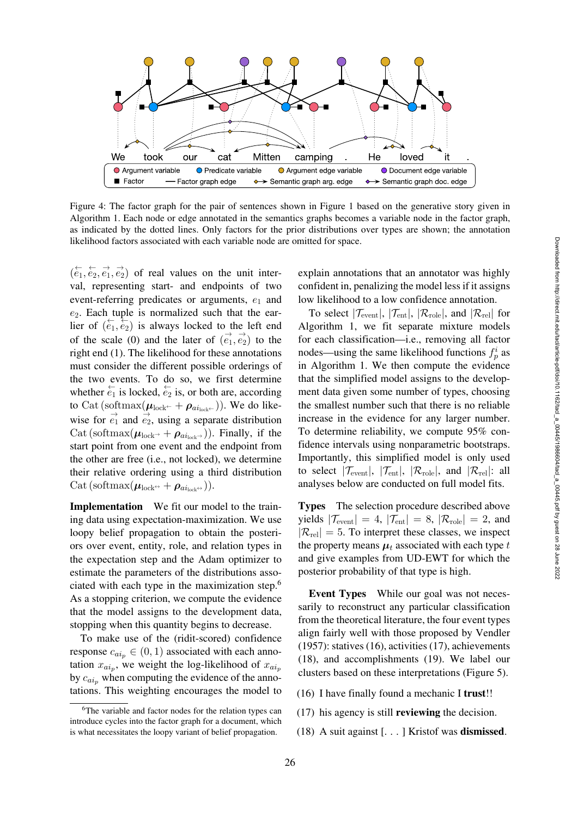

<span id="page-9-0"></span>Figure 4: The factor graph for the pair of sentences shown in [Figure 1](#page-3-1) based on the generative story given in Algorithm [1.](#page-8-2) Each node or edge annotated in the semantics graphs becomes a variable node in the factor graph, as indicated by the dotted lines. Only factors for the prior distributions over types are shown; the annotation likelihood factors associated with each variable node are omitted for space.

 $(\overleftarrow{e}_1, \overleftarrow{e}_2, \overrightarrow{e}_1, \overrightarrow{e}_2)$  of real values on the unit interval, representing start- and endpoints of two event-referring predicates or arguments,  $e_1$  and  $e_2$ . Each tuple is normalized such that the earlier of  $(e_1, e_2)$  is always locked to the left end of the scale (0) and the later of  $(\vec{e_1}, \vec{e_2})$  to the right end (1). The likelihood for these annotations must consider the different possible orderings of the two events. To do so, we first determine whether  $\overleftarrow{e_1}$  is locked,  $\overleftarrow{e_2}$  is, or both are, according to Cat (softmax $(\boldsymbol{\mu}_{\text{lock}} + \boldsymbol{\rho}_{\text{ai}_{\text{lock}}+})$ ). We do likewise for  $\vec{e_1}$  and  $\vec{e_2}$ , using a separate distribution Cat (softmax $(\mu_{\text{lock}} + \rho_{\text{ai}_{\text{lock}}})$ ). Finally, if the start point from one event and the endpoint from the other are free (i.e., not locked), we determine their relative ordering using a third distribution Cat (softmax $(\boldsymbol{\mu}_{\text{lock}} \rightarrow + \boldsymbol{\rho}_{a i_{\text{lock}} \rightarrow})$ ).

Implementation We fit our model to the training data using expectation-maximization. We use loopy belief propagation to obtain the posteriors over event, entity, role, and relation types in the expectation step and the Adam optimizer to estimate the parameters of the distributions associated with each type in the maximization step[.6](#page-9-1) As a stopping criterion, we compute the evidence that the model assigns to the development data, stopping when this quantity begins to decrease.

To make use of the (ridit-scored) confidence response  $c_{ai_p} \in (0, 1)$  associated with each annotation  $x_{ai_p}$ , we weight the log-likelihood of  $x_{ai_p}$ by  $c_{ai_n}$  when computing the evidence of the annotations. This weighting encourages the model to

explain annotations that an annotator was highly confident in, penalizing the model less if it assigns low likelihood to a low confidence annotation.

To select  $|\mathcal{T}_{event}|$ ,  $|\mathcal{T}_{ent}|$ ,  $|\mathcal{R}_{role}|$ , and  $|\mathcal{R}_{rel}|$  for Algorithm [1,](#page-8-2) we fit separate mixture models for each classification—i.e., removing all factor nodes—using the same likelihood functions  $f_p^i$  as in Algorithm [1.](#page-8-2) We then compute the evidence that the simplified model assigns to the development data given some number of types, choosing the smallest number such that there is no reliable increase in the evidence for any larger number. To determine reliability, we compute 95% confidence intervals using nonparametric bootstraps. Importantly, this simplified model is only used to select  $|\mathcal{T}_{event}|$ ,  $|\mathcal{T}_{ent}|$ ,  $|\mathcal{R}_{role}|$ , and  $|\mathcal{R}_{rel}|$ : all analyses below are conducted on full model fits.

Types The selection procedure described above yields  $|\mathcal{T}_{event}| = 4$ ,  $|\mathcal{T}_{ent}| = 8$ ,  $|\mathcal{R}_{role}| = 2$ , and  $|\mathcal{R}_{rel}| = 5$ . To interpret these classes, we inspect the property means  $\mu_t$  associated with each type t and give examples from UD-EWT for which the posterior probability of that type is high.

Event Types While our goal was not necessarily to reconstruct any particular classification from the theoretical literature, the four event types align fairly well with those proposed by [Vendler](#page-16-2) [\(1957\)](#page-16-2): statives (16), activities (17), achievements (18), and accomplishments (19). We label our clusters based on these interpretations [\(Figure 5\)](#page-10-0).

- (16) I have finally found a mechanic I trust!!
- (17) his agency is still reviewing the decision.
- (18) A suit against [. . . ] Kristof was dismissed.

<span id="page-9-1"></span><sup>&</sup>lt;sup>6</sup>The variable and factor nodes for the relation types can introduce cycles into the factor graph for a document, which is what necessitates the loopy variant of belief propagation.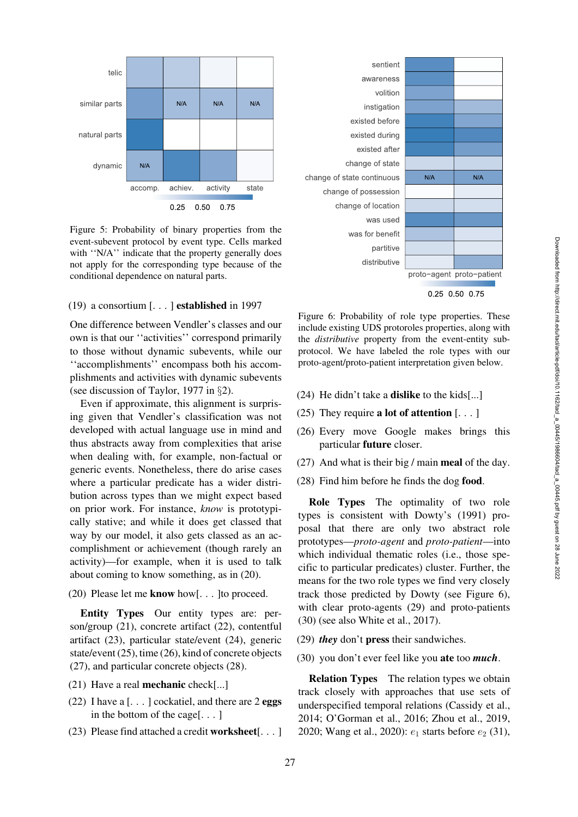

<span id="page-10-0"></span>Figure 5: Probability of binary properties from the event-subevent protocol by event type. Cells marked with "N/A" indicate that the property generally does not apply for the corresponding type because of the conditional dependence on natural parts.

# (19) a consortium [. . . ] established in 1997

One difference between [Vendler](#page-16-2)'s classes and our own is that our ''activities'' correspond primarily to those without dynamic subevents, while our ''accomplishments'' encompass both his accomplishments and activities with dynamic subevents (see discussion of [Taylor](#page-16-5), [1977](#page-16-5) in §[2\)](#page-1-0).

Even if approximate, this alignment is surprising given that [Vendler'](#page-16-2)s classification was not developed with actual language use in mind and thus abstracts away from complexities that arise when dealing with, for example, non-factual or generic events. Nonetheless, there do arise cases where a particular predicate has a wider distribution across types than we might expect based on prior work. For instance, *know* is prototypically stative; and while it does get classed that way by our model, it also gets classed as an accomplishment or achievement (though rarely an activity)—for example, when it is used to talk about coming to know something, as in (20).

# (20) Please let me know how[. . . ]to proceed.

Entity Types Our entity types are: person/group (21), concrete artifact (22), contentful artifact (23), particular state/event (24), generic state/event (25), time (26), kind of concrete objects (27), and particular concrete objects (28).

- (21) Have a real mechanic check[...]
- (22) I have a  $\lceil \ldots \rceil$  cockatiel, and there are 2 eggs in the bottom of the cage[. . . ]
- (23) Please find attached a credit worksheet[. . . ]



0.25 0.50 0.75

<span id="page-10-1"></span>Figure 6: Probability of role type properties. These include existing UDS protoroles properties, along with the *distributive* property from the event-entity subprotocol. We have labeled the role types with our proto-agent/proto-patient interpretation given below.

- (24) He didn't take a dislike to the kids[...]
- (25) They require **a lot of attention**  $[\dots]$
- (26) Every move Google makes brings this particular future closer.
- (27) And what is their big / main meal of the day.
- (28) Find him before he finds the dog food.

Role Types The optimality of two role types is consistent with [Dowty](#page-14-1)'s [\(1991](#page-14-1)) proposal that there are only two abstract role prototypes—*proto-agent* and *proto-patient*—into which individual thematic roles (i.e., those specific to particular predicates) cluster. Further, the means for the two role types we find very closely track those predicted by [Dowty](#page-14-1) (see [Figure 6\)](#page-10-1), with clear proto-agents (29) and proto-patients (30) (see also [White et al.](#page-16-16), [2017\)](#page-16-16).

- (29) *they* don't press their sandwiches.
- (30) you don't ever feel like you ate too *much*.

Relation Types The relation types we obtain track closely with approaches that use sets of underspecified temporal relations [\(Cassidy et al.,](#page-13-13) [2014](#page-13-13); [O'Gorman et al., 2016](#page-15-21); [Zhou et al.](#page-17-2), [2019,](#page-17-2) [2020](#page-17-3); [Wang et al., 2020](#page-16-17)):  $e_1$  starts before  $e_2$  (31),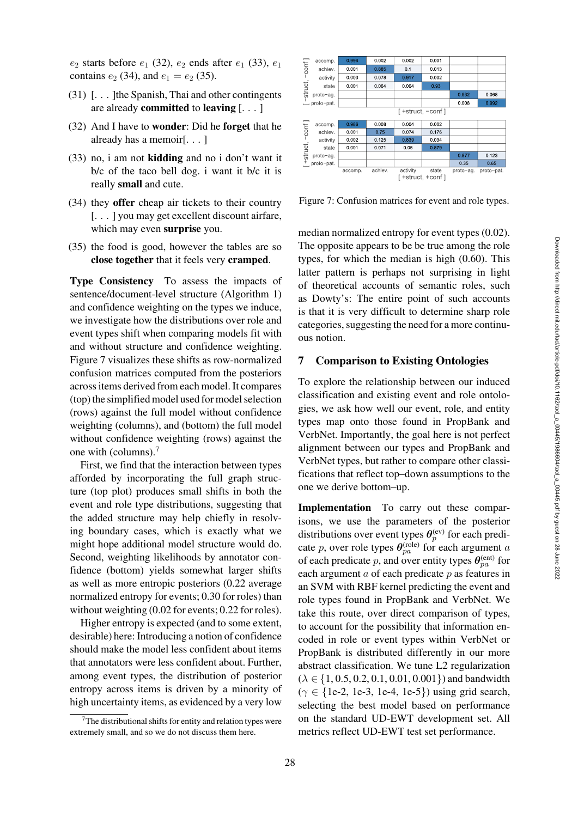$e_2$  starts before  $e_1$  (32),  $e_2$  ends after  $e_1$  (33),  $e_1$ contains  $e_2$  (34), and  $e_1 = e_2$  (35).

- (31) [. . . ]the Spanish, Thai and other contingents are already **committed** to **leaving**  $\lceil \ldots \rceil$
- (32) And I have to wonder: Did he forget that he already has a memoir[. . . ]
- (33) no, i am not kidding and no i don't want it b/c of the taco bell dog. i want it b/c it is really small and cute.
- (34) they offer cheap air tickets to their country [. . . ] you may get excellent discount airfare, which may even surprise you.
- (35) the food is good, however the tables are so close together that it feels very cramped.

Type Consistency To assess the impacts of sentence/document-level structure (Algorithm [1\)](#page-8-2) and confidence weighting on the types we induce, we investigate how the distributions over role and event types shift when comparing models fit with and without structure and confidence weighting. [Figure 7](#page-11-1) visualizes these shifts as row-normalized confusion matrices computed from the posteriors across items derived from each model. It compares (top) the simplified model used for model selection (rows) against the full model without confidence weighting (columns), and (bottom) the full model without confidence weighting (rows) against the one with (columns).[7](#page-11-2)

First, we find that the interaction between types afforded by incorporating the full graph structure (top plot) produces small shifts in both the event and role type distributions, suggesting that the added structure may help chiefly in resolving boundary cases, which is exactly what we might hope additional model structure would do. Second, weighting likelihoods by annotator confidence (bottom) yields somewhat larger shifts as well as more entropic posteriors (0.22 average normalized entropy for events; 0.30 for roles) than without weighting  $(0.02$  for events; 0.22 for roles).

Higher entropy is expected (and to some extent, desirable) here: Introducing a notion of confidence should make the model less confident about items that annotators were less confident about. Further, among event types, the distribution of posterior entropy across items is driven by a minority of high uncertainty items, as evidenced by a very low



<span id="page-11-1"></span>Figure 7: Confusion matrices for event and role types.

median normalized entropy for event types (0.02). The opposite appears to be be true among the role types, for which the median is high (0.60). This latter pattern is perhaps not surprising in light of theoretical accounts of semantic roles, such as Dowty's: The entire point of such accounts is that it is very difficult to determine sharp role categories, suggesting the need for a more continuous notion.

# <span id="page-11-0"></span>7 Comparison to Existing Ontologies

To explore the relationship between our induced classification and existing event and role ontologies, we ask how well our event, role, and entity types map onto those found in PropBank and VerbNet. Importantly, the goal here is not perfect alignment between our types and PropBank and VerbNet types, but rather to compare other classifications that reflect top–down assumptions to the one we derive bottom–up.

Implementation To carry out these comparisons, we use the parameters of the posterior distributions over event types  $\theta_p^{(ev)}$  for each predicate p, over role types  $\theta_{pa}^{(\text{role})}$  for each argument a of each predicate p, and over entity types  $\theta_{pa}^{(ent)}$  for each argument  $\alpha$  of each predicate  $p$  as features in an SVM with RBF kernel predicting the event and role types found in PropBank and VerbNet. We take this route, over direct comparison of types, to account for the possibility that information encoded in role or event types within VerbNet or PropBank is distributed differently in our more abstract classification. We tune L2 regularization  $(\lambda \in \{1, 0.5, 0.2, 0.1, 0.01, 0.001\})$  and bandwidth  $(\gamma \in \{1e-2, 1e-3, 1e-4, 1e-5\})$  using grid search, selecting the best model based on performance on the standard UD-EWT development set. All metrics reflect UD-EWT test set performance.

<span id="page-11-2"></span> $7$ The distributional shifts for entity and relation types were extremely small, and so we do not discuss them here.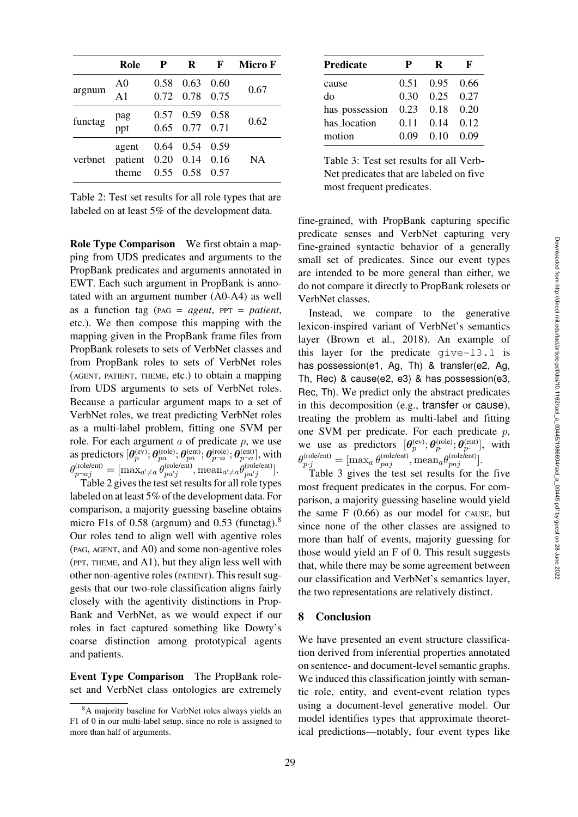| Micro F<br>R<br>F<br>Role<br>P<br>0.63<br>A <sub>0</sub><br>0.58<br>0.60<br>0.67<br>argnum<br>A <sub>1</sub><br>0.72 0.78 0.75<br>0.59<br>0.57<br>0.58<br>pag<br>ppt<br>0.62<br>functag<br>$0.65$ $0.77$ $0.71$<br>0.59<br>0.64<br>0.54<br>agent<br>$0.20$ $0.14$ $0.16$<br>patient<br><b>NA</b><br>verbnet<br>$0.55 \quad 0.58$<br>0.57<br>theme |  |  |  |
|---------------------------------------------------------------------------------------------------------------------------------------------------------------------------------------------------------------------------------------------------------------------------------------------------------------------------------------------------|--|--|--|
|                                                                                                                                                                                                                                                                                                                                                   |  |  |  |
|                                                                                                                                                                                                                                                                                                                                                   |  |  |  |
|                                                                                                                                                                                                                                                                                                                                                   |  |  |  |
|                                                                                                                                                                                                                                                                                                                                                   |  |  |  |

<span id="page-12-0"></span>Table 2: Test set results for all role types that are labeled on at least 5% of the development data.

Role Type Comparison We first obtain a mapping from UDS predicates and arguments to the PropBank predicates and arguments annotated in EWT. Each such argument in PropBank is annotated with an argument number (A0-A4) as well as a function tag (PAG = *agent*, PPT = *patient*, etc.). We then compose this mapping with the mapping given in the PropBank frame files from PropBank rolesets to sets of VerbNet classes and from PropBank roles to sets of VerbNet roles (AGENT, PATIENT, THEME, etc.) to obtain a mapping from UDS arguments to sets of VerbNet roles. Because a particular argument maps to a set of VerbNet roles, we treat predicting VerbNet roles as a multi-label problem, fitting one SVM per role. For each argument  $a$  of predicate  $p$ , we use as predictors  $[\bm{\theta}_p^{\text{(ev)}}; \bm{\theta}_{pa}^{\text{(role)}}; \bm{\theta}_{pa}^{\text{(ent)}}; \bm{\theta}_{p\!-\!a}^{\text{(rel)}}; \bm{\theta}_{p\!-\!a}^{\text{(ent)}}]$ , with  $\theta_{p \neg aj}^{(\text{role/ent})} = [\text{max}_{a' \neq a} \theta_{pa'j}^{(\text{role/ent})}, \text{mean}_{a' \neq a} \theta_{pa'j}^{(\text{role/ent})}].$ 

[Table 2](#page-12-0) gives the test set results for all role types labeled on at least 5% of the development data. For comparison, a majority guessing baseline obtains micro F1s of 0.58 (argnum) and 0.53 (functag).<sup>8</sup> Our roles tend to align well with agentive roles (PAG, AGENT, and A0) and some non-agentive roles (PPT, THEME, and A1), but they align less well with other non-agentive roles (PATIENT). This result suggests that our two-role classification aligns fairly closely with the agentivity distinctions in Prop-Bank and VerbNet, as we would expect if our roles in fact captured something like [Dowty](#page-14-1)'s coarse distinction among prototypical agents and patients.

Event Type Comparison The PropBank roleset and VerbNet class ontologies are extremely

| <b>Predicate</b> | P    | R    | F    |
|------------------|------|------|------|
| cause            | 0.51 | 0.95 | 0.66 |
| do               | 0.30 | 0.25 | 0.27 |
| has_possession   | 0.23 | 0.18 | 0.20 |
| has location     | 0.11 | 0.14 | 0.12 |
| motion           | 0.09 | 0.10 | 0.09 |

<span id="page-12-2"></span>Table 3: Test set results for all Verb-Net predicates that are labeled on five most frequent predicates.

fine-grained, with PropBank capturing specific predicate senses and VerbNet capturing very fine-grained syntactic behavior of a generally small set of predicates. Since our event types are intended to be more general than either, we do not compare it directly to PropBank rolesets or VerbNet classes.

Instead, we compare to the generative lexicon-inspired variant of VerbNet's semantics layer [\(Brown et al.](#page-13-9), [2018\)](#page-13-9). An example of this layer for the predicate give-13.1 is has possession(e1, Ag, Th) & transfer(e2, Ag, Th, Rec) & cause(e2, e3) & has possession(e3, Rec, Th). We predict only the abstract predicates in this decomposition (e.g., transfer or cause), treating the problem as multi-label and fitting one SVM per predicate. For each predicate  $p$ , we use as predictors  $[\theta_p^{\text{(ev)}}; \theta_p^{\text{(role)}}; \theta_p^{\text{(ent)}}]$ , with  $\theta_{p.j}^{(\text{role/ent})} = [\max_a \theta_{paj}^{(\text{role/ent})}, \text{mean}_a \theta_{paj}^{(\text{role/ent})}].$ 

[Table 3](#page-12-2) gives the test set results for the five most frequent predicates in the corpus. For comparison, a majority guessing baseline would yield the same  $F(0.66)$  as our model for CAUSE, but since none of the other classes are assigned to more than half of events, majority guessing for those would yield an F of 0. This result suggests that, while there may be some agreement between our classification and VerbNet's semantics layer, the two representations are relatively distinct.

# 8 Conclusion

We have presented an event structure classification derived from inferential properties annotated on sentence- and document-level semantic graphs. We induced this classification jointly with semantic role, entity, and event-event relation types using a document-level generative model. Our model identifies types that approximate theoretical predictions—notably, four event types like

<span id="page-12-1"></span><sup>8</sup>A majority baseline for VerbNet roles always yields an F1 of 0 in our multi-label setup, since no role is assigned to more than half of arguments.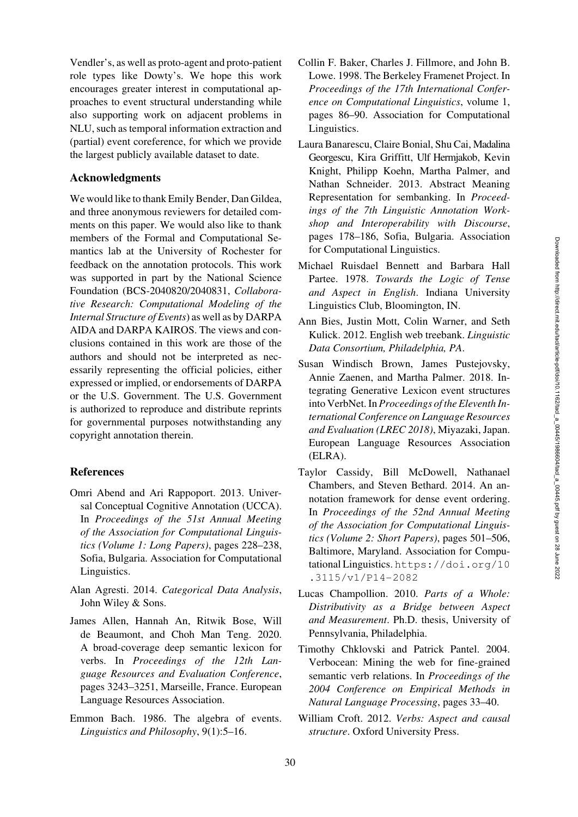Vendler's, as well as proto-agent and proto-patient role types like Dowty's. We hope this work encourages greater interest in computational approaches to event structural understanding while also supporting work on adjacent problems in NLU, such as temporal information extraction and (partial) event coreference, for which we provide the largest publicly available dataset to date.

### Acknowledgments

We would like to thank Emily Bender, Dan Gildea, and three anonymous reviewers for detailed comments on this paper. We would also like to thank members of the Formal and Computational Semantics lab at the University of Rochester for feedback on the annotation protocols. This work was supported in part by the National Science Foundation (BCS-2040820/2040831, *Collaborative Research: Computational Modeling of the Internal Structure of Events*) as well as by DARPA AIDA and DARPA KAIROS. The views and conclusions contained in this work are those of the authors and should not be interpreted as necessarily representing the official policies, either expressed or implied, or endorsements of DARPA or the U.S. Government. The U.S. Government is authorized to reproduce and distribute reprints for governmental purposes notwithstanding any copyright annotation therein.

# References

- <span id="page-13-2"></span>Omri Abend and Ari Rappoport. 2013. Universal Conceptual Cognitive Annotation (UCCA). In *Proceedings of the 51st Annual Meeting of the Association for Computational Linguistics (Volume 1: Long Papers)*, pages 228–238, Sofia, Bulgaria. Association for Computational Linguistics.
- <span id="page-13-12"></span>Alan Agresti. 2014. *Categorical Data Analysis*, John Wiley & Sons.
- <span id="page-13-10"></span>James Allen, Hannah An, Ritwik Bose, Will de Beaumont, and Choh Man Teng. 2020. A broad-coverage deep semantic lexicon for verbs. In *Proceedings of the 12th Language Resources and Evaluation Conference*, pages 3243–3251, Marseille, France. European Language Resources Association.
- <span id="page-13-6"></span>Emmon Bach. 1986. The algebra of events. *Linguistics and Philosophy*, 9(1):5–16.
- <span id="page-13-0"></span>Collin F. Baker, Charles J. Fillmore, and John B. Lowe. 1998. The Berkeley Framenet Project. In *Proceedings of the 17th International Conference on Computational Linguistics*, volume 1, pages 86–90. Association for Computational Linguistics.
- <span id="page-13-1"></span>Laura Banarescu, Claire Bonial, Shu Cai, Madalina Georgescu, Kira Griffitt, Ulf Hermjakob, Kevin Knight, Philipp Koehn, Martha Palmer, and Nathan Schneider. 2013. Abstract Meaning Representation for sembanking. In *Proceedings of the 7th Linguistic Annotation Workshop and Interoperability with Discourse*, pages 178–186, Sofia, Bulgaria. Association for Computational Linguistics.
- <span id="page-13-5"></span><span id="page-13-4"></span>Michael Ruisdael Bennett and Barbara Hall Partee. 1978. *Towards the Logic of Tense and Aspect in English*. Indiana University Linguistics Club, Bloomington, IN.
- <span id="page-13-3"></span>Ann Bies, Justin Mott, Colin Warner, and Seth Kulick. 2012. English web treebank. *Linguistic Data Consortium, Philadelphia, PA*.
- <span id="page-13-9"></span>Susan Windisch Brown, James Pustejovsky, Annie Zaenen, and Martha Palmer. 2018. Integrating Generative Lexicon event structures into VerbNet. In *Proceedings of the Eleventh International Conference on Language Resources and Evaluation (LREC 2018)*, Miyazaki, Japan. European Language Resources Association (ELRA).
- <span id="page-13-13"></span>Taylor Cassidy, Bill McDowell, Nathanael Chambers, and Steven Bethard. 2014. An annotation framework for dense event ordering. In *Proceedings of the 52nd Annual Meeting of the Association for Computational Linguistics (Volume 2: Short Papers)*, pages 501–506, Baltimore, Maryland. Association for Computational Linguistics. [https://doi.org/10](https://doi.org/10.3115/v1/P14-2082) [.3115/v1/P14-2082](https://doi.org/10.3115/v1/P14-2082)
- <span id="page-13-7"></span>Lucas Champollion. 2010. *Parts of a Whole: Distributivity as a Bridge between Aspect and Measurement*. Ph.D. thesis, University of Pennsylvania, Philadelphia.
- <span id="page-13-11"></span>Timothy Chklovski and Patrick Pantel. 2004. Verbocean: Mining the web for fine-grained semantic verb relations. In *Proceedings of the 2004 Conference on Empirical Methods in Natural Language Processing*, pages 33–40.
- <span id="page-13-8"></span>William Croft. 2012. *Verbs: Aspect and causal structure*. Oxford University Press.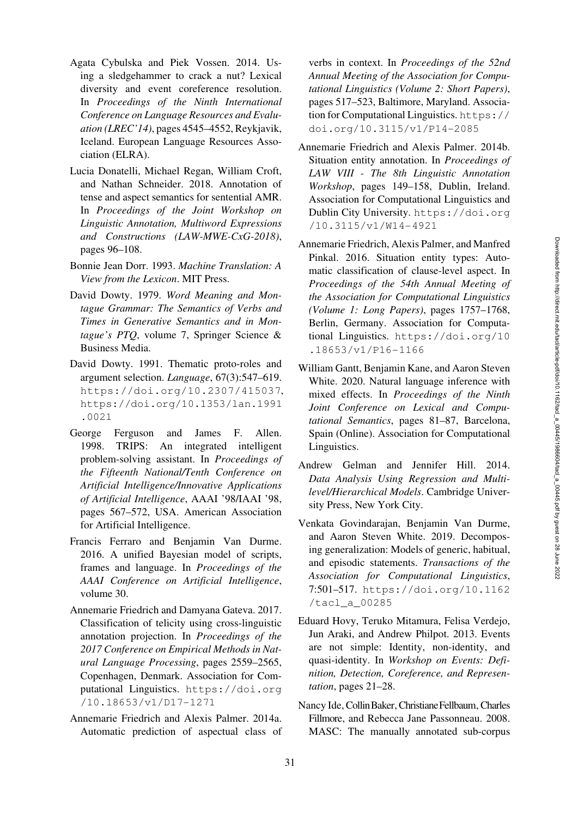- <span id="page-14-6"></span>Agata Cybulska and Piek Vossen. 2014. Using a sledgehammer to crack a nut? Lexical diversity and event coreference resolution. In *Proceedings of the Ninth International Conference on Language Resources and Evaluation (LREC'14)*, pages 4545–4552, Reykjavik, Iceland. European Language Resources Association (ELRA).
- <span id="page-14-4"></span>Lucia Donatelli, Michael Regan, William Croft, and Nathan Schneider. 2018. Annotation of tense and aspect semantics for sentential AMR. In *Proceedings of the Joint Workshop on Linguistic Annotation, Multiword Expressions and Constructions (LAW-MWE-CxG-2018)*, pages 96–108.
- <span id="page-14-2"></span>Bonnie Jean Dorr. 1993. *Machine Translation: A View from the Lexicon*. MIT Press.
- <span id="page-14-0"></span>David Dowty. 1979. *Word Meaning and Montague Grammar: The Semantics of Verbs and Times in Generative Semantics and in Montague's PTQ*, volume 7, Springer Science & Business Media.
- <span id="page-14-1"></span>David Dowty. 1991. Thematic proto-roles and argument selection. *Language*, 67(3):547–619. <https://doi.org/10.2307/415037>, [https://doi.org/10.1353/lan.1991](https://doi.org/10.1353/lan.1991.0021) [.0021](https://doi.org/10.1353/lan.1991.0021)
- <span id="page-14-3"></span>George Ferguson and James F. Allen. 1998. TRIPS: An integrated intelligent problem-solving assistant. In *Proceedings of the Fifteenth National/Tenth Conference on Artificial Intelligence/Innovative Applications of Artificial Intelligence*, AAAI '98/IAAI '98, pages 567–572, USA. American Association for Artificial Intelligence.
- <span id="page-14-18"></span>Francis Ferraro and Benjamin Van Durme. 2016. A unified Bayesian model of scripts, frames and language. In *Proceedings of the AAAI Conference on Artificial Intelligence*, volume 30.
- <span id="page-14-11"></span><span id="page-14-10"></span>Annemarie Friedrich and Damyana Gateva. 2017. Classification of telicity using cross-linguistic annotation projection. In *Proceedings of the 2017 Conference on Empirical Methods in Natural Language Processing*, pages 2559–2565, Copenhagen, Denmark. Association for Computational Linguistics. [https://doi.org](https://doi.org/10.18653/v1/D17-1271) [/10.18653/v1/D17-1271](https://doi.org/10.18653/v1/D17-1271)
- <span id="page-14-17"></span>Annemarie Friedrich and Alexis Palmer. 2014a. Automatic prediction of aspectual class of

verbs in context. In *Proceedings of the 52nd Annual Meeting of the Association for Computational Linguistics (Volume 2: Short Papers)*, pages 517–523, Baltimore, Maryland. Association for Computational Linguistics. [https://](https://doi.org/10.3115/v1/P14-2085) [doi.org/10.3115/v1/P14-2085](https://doi.org/10.3115/v1/P14-2085)

- <span id="page-14-8"></span><span id="page-14-7"></span>Annemarie Friedrich and Alexis Palmer. 2014b. Situation entity annotation. In *Proceedings of LAW VIII - The 8th Linguistic Annotation Workshop*, pages 149–158, Dublin, Ireland. Association for Computational Linguistics and Dublin City University. [https://doi.org](https://doi.org/10.3115/v1/W14-4921) [/10.3115/v1/W14-4921](https://doi.org/10.3115/v1/W14-4921)
- <span id="page-14-9"></span>Annemarie Friedrich, Alexis Palmer, and Manfred Pinkal. 2016. Situation entity types: Automatic classification of clause-level aspect. In *Proceedings of the 54th Annual Meeting of the Association for Computational Linguistics (Volume 1: Long Papers)*, pages 1757–1768, Berlin, Germany. Association for Computational Linguistics. [https://doi.org/10](https://doi.org/10.18653/v1/P16-1166) [.18653/v1/P16-1166](https://doi.org/10.18653/v1/P16-1166)
- <span id="page-14-14"></span>William Gantt, Benjamin Kane, and Aaron Steven White. 2020. Natural language inference with mixed effects. In *Proceedings of the Ninth Joint Conference on Lexical and Computational Semantics*, pages 81–87, Barcelona, Spain (Online). Association for Computational Linguistics.
- <span id="page-14-13"></span>Andrew Gelman and Jennifer Hill. 2014. *Data Analysis Using Regression and Multilevel/Hierarchical Models*. Cambridge University Press, New York City.
- <span id="page-14-16"></span><span id="page-14-12"></span>Venkata Govindarajan, Benjamin Van Durme, and Aaron Steven White. 2019. Decomposing generalization: Models of generic, habitual, and episodic statements. *Transactions of the Association for Computational Linguistics*, 7:501–517. [https://doi.org/10.1162](https://doi.org/10.1162/tacl_a_00285) [/tacl\\_a\\_00285](https://doi.org/10.1162/tacl_a_00285)
- <span id="page-14-5"></span>Eduard Hovy, Teruko Mitamura, Felisa Verdejo, Jun Araki, and Andrew Philpot. 2013. Events are not simple: Identity, non-identity, and quasi-identity. In *Workshop on Events: Definition, Detection, Coreference, and Representation*, pages 21–28.
- <span id="page-14-15"></span>Nancy Ide, Collin Baker, Christiane Fellbaum, Charles Fillmore, and Rebecca Jane Passonneau. 2008. MASC: The manually annotated sub-corpus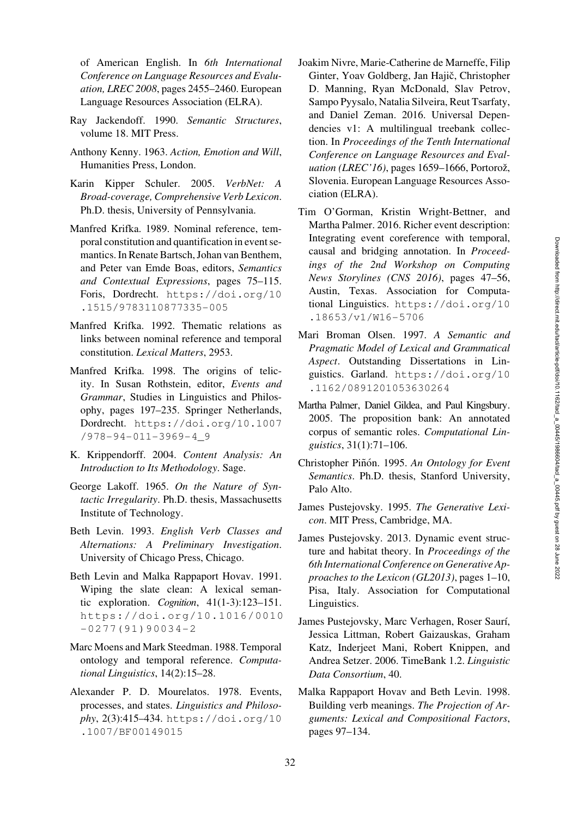of American English. In *6th International Conference on Language Resources and Evaluation, LREC 2008*, pages 2455–2460. European Language Resources Association (ELRA).

- <span id="page-15-16"></span>Ray Jackendoff. 1990. *Semantic Structures*, volume 18. MIT Press.
- <span id="page-15-3"></span>Anthony Kenny. 1963. *Action, Emotion and Will*, Humanities Press, London.
- <span id="page-15-17"></span><span id="page-15-0"></span>Karin Kipper Schuler. 2005. *VerbNet: A Broad-coverage, Comprehensive Verb Lexicon*. Ph.D. thesis, University of Pennsylvania.
- <span id="page-15-7"></span>Manfred Krifka. 1989. Nominal reference, temporal constitution and quantification in event semantics. In Renate Bartsch, Johan van Benthem, and Peter van Emde Boas, editors, *Semantics and Contextual Expressions*, pages 75–115. Foris, Dordrecht. [https://doi.org/10](https://doi.org/10.1515/9783110877335-005) [.1515/9783110877335-005](https://doi.org/10.1515/9783110877335-005)
- <span id="page-15-8"></span>Manfred Krifka. 1992. Thematic relations as links between nominal reference and temporal constitution. *Lexical Matters*, 2953.
- <span id="page-15-9"></span>Manfred Krifka. 1998. The origins of telicity. In Susan Rothstein, editor, *Events and Grammar*, Studies in Linguistics and Philosophy, pages 197–235. Springer Netherlands, Dordrecht. [https://doi.org/10.1007](https://doi.org/10.1007/978-94-011-3969-4_9) [/978-94-011-3969-4\\_9](https://doi.org/10.1007/978-94-011-3969-4_9)
- <span id="page-15-23"></span>K. Krippendorff. 2004. *Content Analysis: An Introduction to Its Methodology*. Sage.
- <span id="page-15-4"></span>George Lakoff. 1965. *On the Nature of Syntactic Irregularity*. Ph.D. thesis, Massachusetts Institute of Technology.
- <span id="page-15-18"></span>Beth Levin. 1993. *English Verb Classes and Alternations: A Preliminary Investigation*. University of Chicago Press, Chicago.
- <span id="page-15-10"></span>Beth Levin and Malka Rappaport Hovav. 1991. Wiping the slate clean: A lexical semantic exploration. *Cognition*, 41(1-3):123–151. [https://doi.org/10.1016/0010](https://doi.org/10.1016/0010-0277(91)90034-2)  $-0277(91)90034-2$
- <span id="page-15-13"></span>Marc Moens and Mark Steedman. 1988. Temporal ontology and temporal reference. *Computational Linguistics*, 14(2):15–28.
- <span id="page-15-5"></span>Alexander P. D. Mourelatos. 1978. Events, processes, and states. *Linguistics and Philosophy*, 2(3):415–434. [https://doi.org/10](https://doi.org/10.1007/BF00149015) [.1007/BF00149015](https://doi.org/10.1007/BF00149015)
- <span id="page-15-2"></span>Joakim Nivre, Marie-Catherine de Marneffe, Filip Ginter, Yoav Goldberg, Jan Hajič, Christopher D. Manning, Ryan McDonald, Slav Petrov, Sampo Pyysalo, Natalia Silveira, Reut Tsarfaty, and Daniel Zeman. 2016. Universal Dependencies v1: A multilingual treebank collection. In *Proceedings of the Tenth International Conference on Language Resources and Evaluation (LREC'16)*, pages 1659–1666, Portorož, Slovenia. European Language Resources Association (ELRA).
- <span id="page-15-21"></span><span id="page-15-20"></span>Tim O'Gorman, Kristin Wright-Bettner, and Martha Palmer. 2016. Richer event description: Integrating event coreference with temporal, causal and bridging annotation. In *Proceedings of the 2nd Workshop on Computing News Storylines (CNS 2016)*, pages 47–56, Austin, Texas. Association for Computational Linguistics. [https://doi.org/10](https://doi.org/10.18653/v1/W16-5706) [.18653/v1/W16-5706](https://doi.org/10.18653/v1/W16-5706)
- <span id="page-15-15"></span>Mari Broman Olsen. 1997. *A Semantic and Pragmatic Model of Lexical and Grammatical Aspect*. Outstanding Dissertations in Linguistics. Garland. [https://doi.org/10](https://doi.org/10.1162/0891201053630264) [.1162/0891201053630264](https://doi.org/10.1162/0891201053630264)
- <span id="page-15-1"></span>Martha Palmer, Daniel Gildea, and Paul Kingsbury. 2005. The proposition bank: An annotated corpus of semantic roles. *Computational Linguistics*, 31(1):71–106.
- <span id="page-15-6"></span>Christopher Piñón. 1995. An Ontology for Event *Semantics*. Ph.D. thesis, Stanford University, Palo Alto.
- <span id="page-15-14"></span>James Pustejovsky. 1995. *The Generative Lexicon*. MIT Press, Cambridge, MA.
- <span id="page-15-19"></span>James Pustejovsky. 2013. Dynamic event structure and habitat theory. In *Proceedings of the 6th International Conference on Generative Approaches to the Lexicon (GL2013)*, pages 1–10, Pisa, Italy. Association for Computational Linguistics.
- <span id="page-15-22"></span>James Pustejovsky, Marc Verhagen, Roser Saurí, Jessica Littman, Robert Gaizauskas, Graham Katz, Inderjeet Mani, Robert Knippen, and Andrea Setzer. 2006. TimeBank 1.2. *Linguistic Data Consortium*, 40.
- <span id="page-15-12"></span><span id="page-15-11"></span>Malka Rappaport Hovav and Beth Levin. 1998. Building verb meanings. *The Projection of Arguments: Lexical and Compositional Factors*, pages 97–134.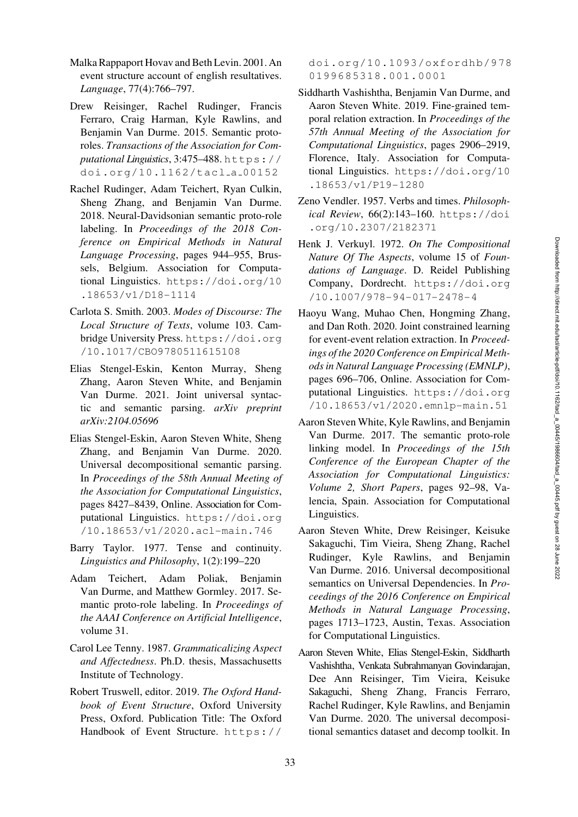- <span id="page-16-8"></span>Malka Rappaport Hovav and Beth Levin. 2001. An event structure account of english resultatives. *Language*, 77(4):766–797.
- <span id="page-16-11"></span>Drew Reisinger, Rachel Rudinger, Francis Ferraro, Craig Harman, Kyle Rawlins, and Benjamin Van Durme. 2015. Semantic protoroles. *Transactions of the Association for Computational Linguistics*, 3:475–488. [https://](https://doi.org/10.1162/tacl_a_00152) [doi.org/10.1162/tacl](https://doi.org/10.1162/tacl_a_00152) a 00152
- <span id="page-16-9"></span>Rachel Rudinger, Adam Teichert, Ryan Culkin, Sheng Zhang, and Benjamin Van Durme. 2018. Neural-Davidsonian semantic proto-role labeling. In *Proceedings of the 2018 Conference on Empirical Methods in Natural Language Processing*, pages 944–955, Brussels, Belgium. Association for Computational Linguistics. [https://doi.org/10](https://doi.org/10.18653/v1/D18-1114) [.18653/v1/D18-1114](https://doi.org/10.18653/v1/D18-1114)
- <span id="page-16-6"></span>Carlota S. Smith. 2003. *Modes of Discourse: The Local Structure of Texts*, volume 103. Cambridge University Press. [https://doi.org](https://doi.org/10.1017/CBO9780511615108) [/10.1017/CBO9780511615108](https://doi.org/10.1017/CBO9780511615108)
- <span id="page-16-14"></span>Elias Stengel-Eskin, Kenton Murray, Sheng Zhang, Aaron Steven White, and Benjamin Van Durme. 2021. Joint universal syntactic and semantic parsing. *arXiv preprint arXiv:2104.05696*
- <span id="page-16-13"></span>Elias Stengel-Eskin, Aaron Steven White, Sheng Zhang, and Benjamin Van Durme. 2020. Universal decompositional semantic parsing. In *Proceedings of the 58th Annual Meeting of the Association for Computational Linguistics*, pages 8427–8439, Online. Association for Computational Linguistics. [https://doi.org](https://doi.org/10.18653/v1/2020.acl-main.746) [/10.18653/v1/2020.acl-main.746](https://doi.org/10.18653/v1/2020.acl-main.746)
- <span id="page-16-5"></span>Barry Taylor. 1977. Tense and continuity. *Linguistics and Philosophy*, 1(2):199–220
- <span id="page-16-15"></span>Adam Teichert, Adam Poliak, Benjamin Van Durme, and Matthew Gormley. 2017. Semantic proto-role labeling. In *Proceedings of the AAAI Conference on Artificial Intelligence*, volume 31.
- <span id="page-16-7"></span>Carol Lee Tenny. 1987. *Grammaticalizing Aspect and Affectedness*. Ph.D. thesis, Massachusetts Institute of Technology.
- <span id="page-16-4"></span>Robert Truswell, editor. 2019. *The Oxford Handbook of Event Structure*, Oxford University Press, Oxford. Publication Title: The Oxford Handbook of Event Structure. [https://](https://doi.org/10.1093/oxfordhb/9780199685318.001.0001)

[doi.org/10.1093/oxfordhb/978](https://doi.org/10.1093/oxfordhb/9780199685318.001.0001) [0199685318.001.0001](https://doi.org/10.1093/oxfordhb/9780199685318.001.0001)

- <span id="page-16-10"></span>Siddharth Vashishtha, Benjamin Van Durme, and Aaron Steven White. 2019. Fine-grained temporal relation extraction. In *Proceedings of the 57th Annual Meeting of the Association for Computational Linguistics*, pages 2906–2919, Florence, Italy. Association for Computational Linguistics. [https://doi.org/10](https://doi.org/10.18653/v1/P19-1280) [.18653/v1/P19-1280](https://doi.org/10.18653/v1/P19-1280)
- <span id="page-16-2"></span>Zeno Vendler. 1957. Verbs and times. *Philosophical Review*, 66(2):143–160. [https://doi](https://doi.org/10.2307/2182371) [.org/10.2307/2182371](https://doi.org/10.2307/2182371)
- <span id="page-16-3"></span>Henk J. Verkuyl. 1972. *On The Compositional Nature Of The Aspects*, volume 15 of *Foundations of Language*. D. Reidel Publishing Company, Dordrecht. [https://doi.org](https://doi.org/10.1007/978-94-017-2478-4) [/10.1007/978-94-017-2478-4](https://doi.org/10.1007/978-94-017-2478-4)
- <span id="page-16-17"></span>Haoyu Wang, Muhao Chen, Hongming Zhang, and Dan Roth. 2020. Joint constrained learning for event-event relation extraction. In *Proceedings of the 2020 Conference on Empirical Methods in Natural Language Processing (EMNLP)*, pages 696–706, Online. Association for Computational Linguistics. [https://doi.org](https://doi.org/10.18653/v1/2020.emnlp-main.51) [/10.18653/v1/2020.emnlp-main.51](https://doi.org/10.18653/v1/2020.emnlp-main.51)
- <span id="page-16-16"></span>Aaron Steven White, Kyle Rawlins, and Benjamin Van Durme. 2017. The semantic proto-role linking model. In *Proceedings of the 15th Conference of the European Chapter of the Association for Computational Linguistics: Volume 2, Short Papers*, pages 92–98, Valencia, Spain. Association for Computational Linguistics.
- <span id="page-16-0"></span>Aaron Steven White, Drew Reisinger, Keisuke Sakaguchi, Tim Vieira, Sheng Zhang, Rachel Rudinger, Kyle Rawlins, and Benjamin Van Durme. 2016. Universal decompositional semantics on Universal Dependencies. In *Proceedings of the 2016 Conference on Empirical Methods in Natural Language Processing*, pages 1713–1723, Austin, Texas. Association for Computational Linguistics.
- <span id="page-16-12"></span><span id="page-16-1"></span>Aaron Steven White, Elias Stengel-Eskin, Siddharth Vashishtha, Venkata Subrahmanyan Govindarajan, Dee Ann Reisinger, Tim Vieira, Keisuke Sakaguchi, Sheng Zhang, Francis Ferraro, Rachel Rudinger, Kyle Rawlins, and Benjamin Van Durme. 2020. The universal decompositional semantics dataset and decomp toolkit. In